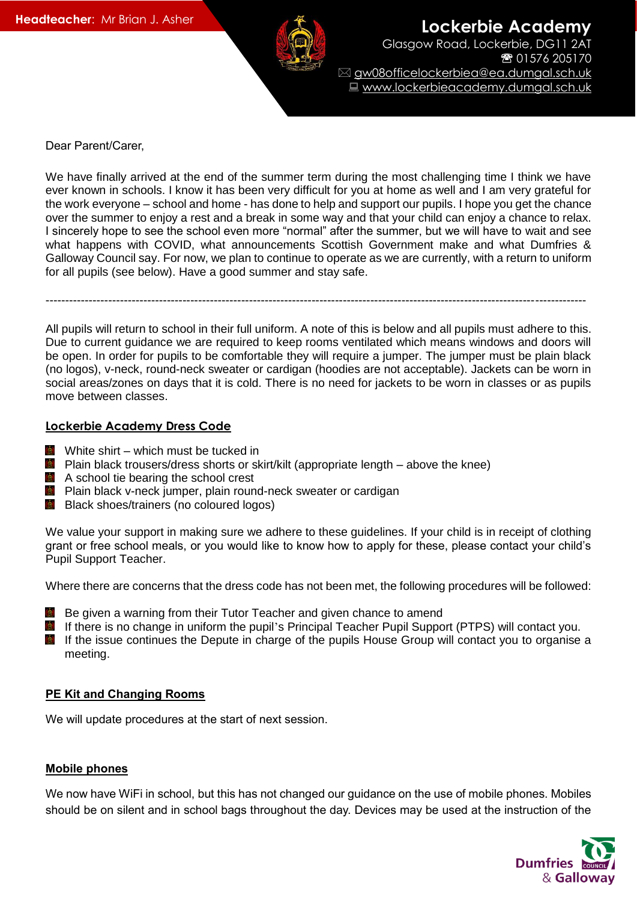

**Lockerbie Academy** Glasgow Road, Lockerbie, DG11 2AT ● 01576 205170 gw08officelockerbiea@ea.dumgal.sch.uk Www.lockerbieacademy.dumgal.sch.uk

Dear Parent/Carer,

We have finally arrived at the end of the summer term during the most challenging time I think we have ever known in schools. I know it has been very difficult for you at home as well and I am very grateful for the work everyone – school and home - has done to help and support our pupils. I hope you get the chance over the summer to enjoy a rest and a break in some way and that your child can enjoy a chance to relax. I sincerely hope to see the school even more "normal" after the summer, but we will have to wait and see what happens with COVID, what announcements Scottish Government make and what Dumfries & Galloway Council say. For now, we plan to continue to operate as we are currently, with a return to uniform for all pupils (see below). Have a good summer and stay safe.

------------------------------------------------------------------------------------------------------------------------------------------

All pupils will return to school in their full uniform. A note of this is below and all pupils must adhere to this. Due to current guidance we are required to keep rooms ventilated which means windows and doors will be open. In order for pupils to be comfortable they will require a jumper. The jumper must be plain black (no logos), v-neck, round-neck sweater or cardigan (hoodies are not acceptable). Jackets can be worn in social areas/zones on days that it is cold. There is no need for jackets to be worn in classes or as pupils move between classes.

## **Lockerbie Academy Dress Code**

- White shirt which must be tucked in
- **Plain black trousers/dress shorts or skirt/kilt (appropriate length above the knee)**
- **A** A school tie bearing the school crest
- **Plain black v-neck jumper, plain round-neck sweater or cardigan**
- **B** Black shoes/trainers (no coloured logos)

We value your support in making sure we adhere to these guidelines. If your child is in receipt of clothing grant or free school meals, or you would like to know how to apply for these, please contact your child's Pupil Support Teacher.

Where there are concerns that the dress code has not been met, the following procedures will be followed:

- Be given a warning from their Tutor Teacher and given chance to amend
- If there is no change in uniform the pupil's Principal Teacher Pupil Support (PTPS) will contact you.
- **B** If the issue continues the Depute in charge of the pupils House Group will contact you to organise a meeting.

## **PE Kit and Changing Rooms**

We will update procedures at the start of next session.

## **Mobile phones**

We now have WiFi in school, but this has not changed our guidance on the use of mobile phones. Mobiles should be on silent and in school bags throughout the day. Devices may be used at the instruction of the